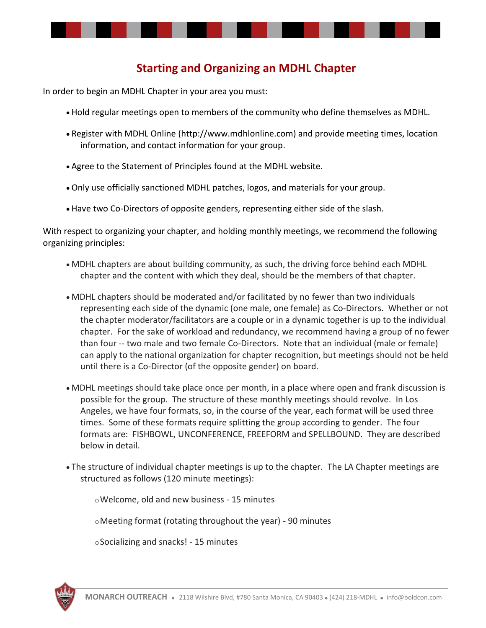

## **Starting and Organizing an MDHL Chapter**

In order to begin an MDHL Chapter in your area you must:

- Hold regular meetings open to members of the community who define themselves as MDHL.
- Register with MDHL Online (http://www.mdhlonline.com) and provide meeting times, location information, and contact information for your group.
- Agree to the Statement of Principles found at the MDHL website.
- Only use officially sanctioned MDHL patches, logos, and materials for your group.
- Have two Co-Directors of opposite genders, representing either side of the slash.

With respect to organizing your chapter, and holding monthly meetings, we recommend the following organizing principles:

- MDHL chapters are about building community, as such, the driving force behind each MDHL chapter and the content with which they deal, should be the members of that chapter.
- MDHL chapters should be moderated and/or facilitated by no fewer than two individuals representing each side of the dynamic (one male, one female) as Co-Directors. Whether or not the chapter moderator/facilitators are a couple or in a dynamic together is up to the individual chapter. For the sake of workload and redundancy, we recommend having a group of no fewer than four -- two male and two female Co-Directors. Note that an individual (male or female) can apply to the national organization for chapter recognition, but meetings should not be held until there is a Co-Director (of the opposite gender) on board.
- MDHL meetings should take place once per month, in a place where open and frank discussion is possible for the group. The structure of these monthly meetings should revolve. In Los Angeles, we have four formats, so, in the course of the year, each format will be used three times. Some of these formats require splitting the group according to gender. The four formats are: FISHBOWL, UNCONFERENCE, FREEFORM and SPELLBOUND. They are described below in detail.
- The structure of individual chapter meetings is up to the chapter. The LA Chapter meetings are structured as follows (120 minute meetings):

oWelcome, old and new business - 15 minutes

oMeeting format (rotating throughout the year) - 90 minutes

oSocializing and snacks! - 15 minutes